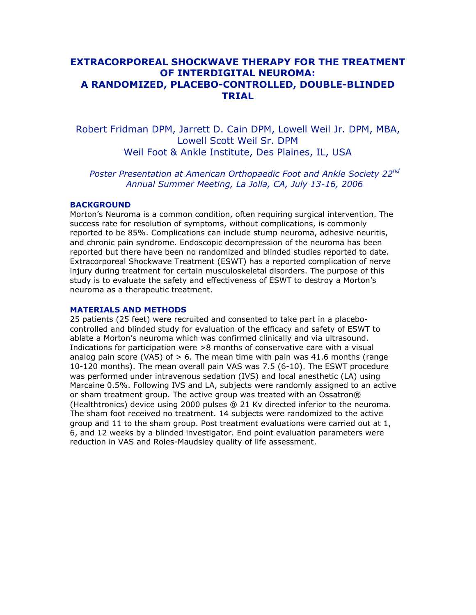# **EXTRACORPOREAL SHOCKWAVE THERAPY FOR THE TREATMENT OF INTERDIGITAL NEUROMA: A RANDOMIZED, PLACEBO-CONTROLLED, DOUBLE-BLINDED TRIAL**

Robert Fridman DPM, Jarrett D. Cain DPM, Lowell Weil Jr. DPM, MBA, Lowell Scott Weil Sr. DPM Weil Foot & Ankle Institute, Des Plaines, IL, USA

*Poster Presentation at American Orthopaedic Foot and Ankle Society 22nd Annual Summer Meeting, La Jolla, CA, July 13-16, 2006*

## **BACKGROUND**

Morton's Neuroma is a common condition, often requiring surgical intervention. The success rate for resolution of symptoms, without complications, is commonly reported to be 85%. Complications can include stump neuroma, adhesive neuritis, and chronic pain syndrome. Endoscopic decompression of the neuroma has been reported but there have been no randomized and blinded studies reported to date. Extracorporeal Shockwave Treatment (ESWT) has a reported complication of nerve injury during treatment for certain musculoskeletal disorders. The purpose of this study is to evaluate the safety and effectiveness of ESWT to destroy a Morton's neuroma as a therapeutic treatment.

#### **MATERIALS AND METHODS**

25 patients (25 feet) were recruited and consented to take part in a placebocontrolled and blinded study for evaluation of the efficacy and safety of ESWT to ablate a Morton's neuroma which was confirmed clinically and via ultrasound. Indications for participation were >8 months of conservative care with a visual analog pain score (VAS) of  $> 6$ . The mean time with pain was 41.6 months (range 10-120 months). The mean overall pain VAS was 7.5 (6-10). The ESWT procedure was performed under intravenous sedation (IVS) and local anesthetic (LA) using Marcaine 0.5%. Following IVS and LA, subjects were randomly assigned to an active or sham treatment group. The active group was treated with an Ossatron® (Healthtronics) device using 2000 pulses @ 21 Kv directed inferior to the neuroma. The sham foot received no treatment. 14 subjects were randomized to the active group and 11 to the sham group. Post treatment evaluations were carried out at 1, 6, and 12 weeks by a blinded investigator. End point evaluation parameters were reduction in VAS and Roles-Maudsley quality of life assessment.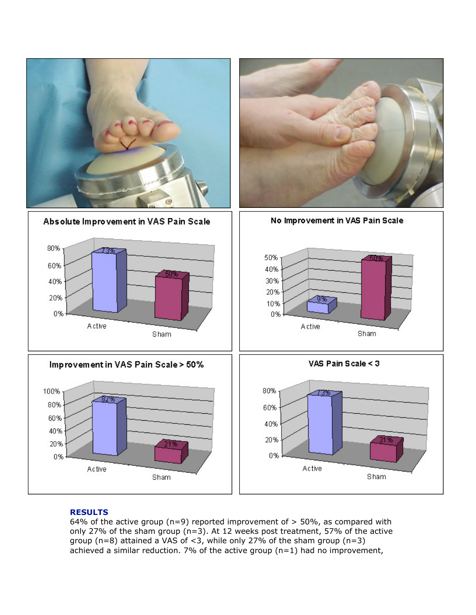

## **RESULTS**

64% of the active group (n=9) reported improvement of  $>$  50%, as compared with only 27% of the sham group (n=3). At 12 weeks post treatment, 57% of the active group (n=8) attained a VAS of  $<$ 3, while only 27% of the sham group (n=3) achieved a similar reduction. 7% of the active group  $(n=1)$  had no improvement,